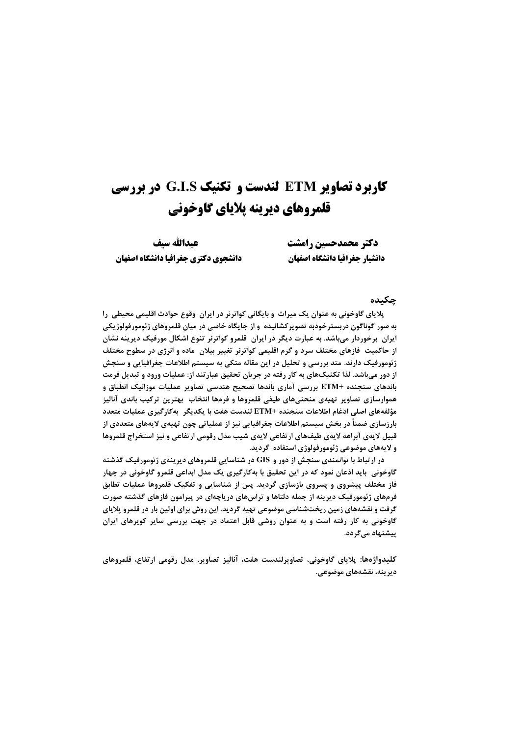# **کاربرد تصاویر ETM لندست و تکنیک G.I.S در بررسی** قلمروهای دیرینه پلایای گاوخونی

دكتر محمدحسين رامشت دانشيار جغرافيا دانشكاه اصفهان

عىدالله سىف دانشجوي دكترى جغرافيا دانشكاه اصفهان

#### چکىدە

پلایای گاوخونی به عنوان یک میراث و بایگانی کواترنر در ایران وقوع حوادث اقلیمی محیطی را به صور گوناگون دربسترخودبه تصویرکشانیده و از جایگاه خاصی در میان قلمروهای ژئومورفولوژیکی ایران برخوردار میباشد. به عبارت دیگر در ایران قلمرو کواترنر تنوع اشکال مورفیک دیرینه نشان از حاکمیت ًفازهای مختلف سرد و گرم اقلیمی کواترنر تغییر بیلان ً ماده و انرژی در سطوح مختلف ژئومورفیک دارند. متد بررسی و تحلیل در این مقاله متکی به سیستم اطلاعات جغرافیایی و سنجش از دور میباشد. لذا تکنیکهای به کار رفته در جریان تحقیق عبارتند از: عملیات ورود و تبدیل فرمت باندهای سنجنده +ETM بررسی آماری باندها تصحیح هندسی تصاویر عملیات موزائیک انطباق و هموارسازی تصاویر تهیهی منحنیهای طیفی قلمروها و فرمها انتخاب ًبهترین ترکیب باندی آنالیز مؤلفههاي اصلي ادغام اطلاعات سنجنده +ETM لندست هفت با يكديگر بهكارگيري عمليات متعدد بارزسازی ضمناً در بخش سیستم اطلاعات جغرافیایی نیز از عملیاتی چون تهیهی لایههای متعددی از قبیل لایهی آبراهه لایهی طیف@ای ارتفاعی لایهی شیب مدل رقومی ارتفاعی و نیز استخراج قلمروها و لايههای موضوعی ژئومورفولوژی استفاده گرديد.

در ارتباط با توانمندی سنجش از دور و GIS در شناسایی قلمروهای دیرینهی ژئومورفیک گذشته گاوخونی باید اذعان نمود که در این تحقیق با بهکارگیری یک مدل ابداعی قلمرو گاوخونی در چهار فاز مختلف پیشروی و پسروی بازسازی گردید. پس از شناسایی و تفکیک قلمروها عملیات تطابق فرمهای ژئومورفیک دیرینه از جمله دلتاها و تراسهای دریاچهای در پیرامون فازهای گذشته صورت گرفت و نقشههای زمین ریختشناسی موضوعی تهیه گردید. این روش برای اولین بار در قلمرو پلایای گاوخونی به کار رفته است و به عنوان روشی قابل اعتماد در جهت بررسی سایر کویرهای ایران ییشنهاد مے گردد.

كليدواژەها: پلاياي گاوخوني، تصاويرلندست هفت، آناليز تصاوير، مدل رقومي ارتفاع، قلمروهاي ديرينه، نقشههاي موضوعي.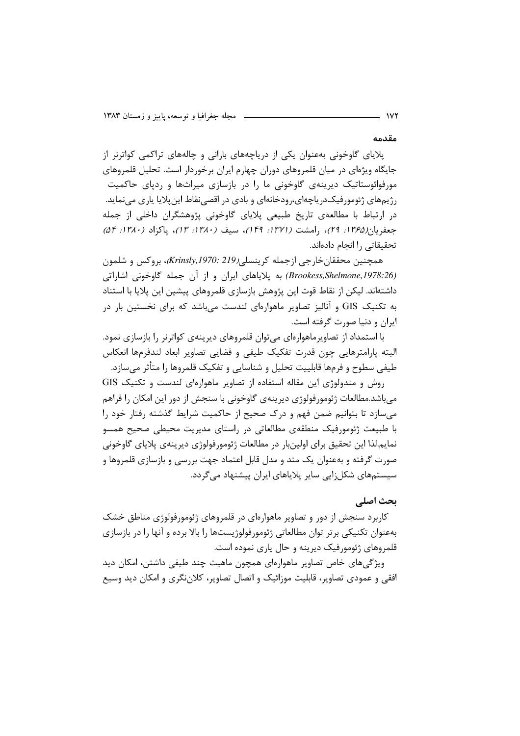مقدمه

پلایای گاوخونی بهعنوان یکی از دریاچههای بارانی و چالههای تراکمی کواترنر از جایگاه ویژهای در میان قلمروهای دوران چهارم ایران برخوردار است. تحلیل قلمروهای مورفوائوستاتیک دیرینهی گاوخونی ما را در بازسازی میراثها و ردپای حاکمیت رژیمهای ژئومورفیکدریاچهای،رودخانهای و بادی در اقصی نقاط این پلایا پاری می نماید. در ارتباط با مطالعهی تاریخ طبیعی پلایای گاوخونی پژوهشگران داخلی از جمله جعفريان(١٣۶۵: ٢٩)، رامشت (١٣٧١: ١٣٩)، سيف (١٣٨٠: ١٣)، ياكزاد (١٣٨٠: ٥۴) تحقيقاتي , ا انحام دادهاند.

همچنين محققان خارجي ازجمله كرينسلي(Krinsly,1970: 219)، بروكس و شلمون (Brookess,Shelmone,1978:26) به پلایاهای ایران و از آن جمله گاوخونی اشاراتی داشتهاند. لیکن از نقاط قوت این پژوهش بازسازی قلمروهای پیشین این پلایا با استناد به تکنیک GIS و آنالیز تصاویر ماهوارهای لندست می باشد که برای نخستین بار در ايران و دنيا صورت گرفته است.

با استمداد از تصاویرماهوارهای میتوان قلمروهای دیرینهی کواترنر را بازسازی نمود. البته پارامترهایی چون قدرت تفکیک طیفی و فضایی تصاویر ابعاد لندفرمها انعکاس طیفی سطوح و فرمها قابلییت تحلیل و شناسایی و تفکیک قلمروها را متأثر میسازد.

 $\frac{1}{2}$  روش و متدولوژی این مقاله استفاده از تصاویر ماهوارهای لندست و تکنیک می باشد.مطالعات ژئومورفولوژی دیرینهی گاوخونی با سنجش از دور این امکان را فراهم می سازد تا بتوانیم ضمن فهم و درک صحیح از حاکمیت شرایط گذشته رفتار خود را با طبیعت ژئومورفیک منطقهی مطالعاتی در راستای مدیریت محیطی صحیح همسو نمايم.لذا اين تحقيق براي اولينبار در مطالعات ژئومورفولوژي ديرينهي پلاياي گاوخوني صورت گرفته و بهعنوان یک متد و مدل قابل اعتماد جهت بررسی و بازسازی قلمروها و سیستمھای شکل;ایی سایر پلایاهای ایران پیشنهاد مے گردد.

# يحث اصلى

کاربرد سنجش از دور و تصاویر ماهوارهای در قلمروهای ژئومورفولوژی مناطق خشک بهعنوان تکنیکی برتر توان مطالعاتی ژئومورفولوژیستها را بالا برده و آنها را در بازسازی قلمروهای ژئومورفیک دیرینه و حال پاری نموده است.

ویژگیهای خاص تصاویر ماهوارهای همچون ماهیت چند طیفی داشتن، امکان دید افقی و عمودی تصاویر، قابلیت موزائیک و اتصال تصاویر، کلاننگری و امکان دید وسیع

**1VY**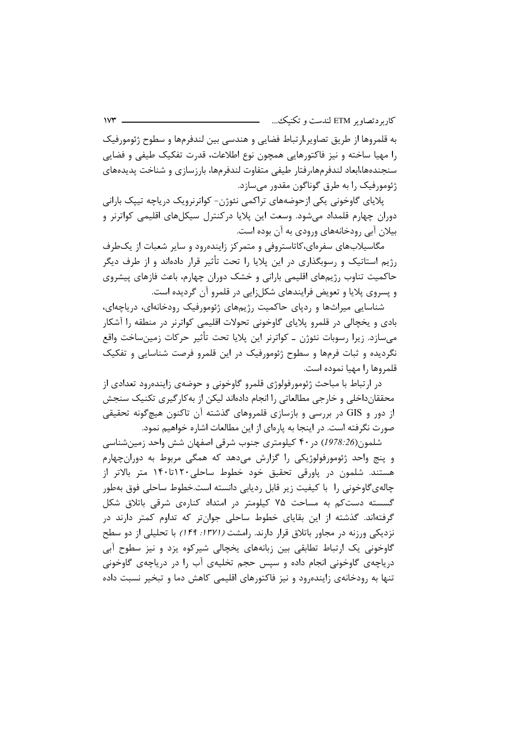به قلمروها از طريق تصاوير،ارتباط فضايي و هندسي بين لندفرمها و سطوح ژئومورفيک را مهيا ساخته و نيز فاكتورهايي همچون نوع اطلاعات، قدرت تفكيک طيفي و فضايي سنجندهها،ابعاد لندفرمها،رفتار طيفي متفاوت لندفرمها، بارزسازي و شناخت پديدههاي ژئومورفیک را به طرق گوناگون مقدور میسازد.

پلایای گاوخونی یکی ازحوضههای تراکمی نئوژن- کواترنرویک دریاچه تیپک بارانی دوران چهارم قلمداد میشود. وسعت این پلایا درکنترل سیکلهای اقلیمی کواترنر و بیلان آبی رودخانههای ورودی به آن بوده است.

مگاسیلابهای سفرهای،کاتاستروفی و متمرکز زاینده ود و سایر شعبات از یک طرف رژیم استاتیک و رسوبگذاری در این پلایا را تحت تأثیر قرار دادهاند و از طرف دیگر حاکمیت تناوب رژیمهای اقلیمی بارانی و خشک دوران چهارم، باعث فازهای پیشروی و پسروی پلایا و تعویض فرایندهای شکلزایی در قلمرو آن گردیده است.

شناسایی میراثها و ردپای حاکمیت رژیمهای ژئومورفیک رودخانهای، دریاچهای، بادي و يخچالي در قلمرو پلاياي گاوخوني تحولات اقليمي كواترنر در منطقه را آشكار می،سازد. زیرا رسوبات نئوژن ــ کواترنر این پلایا تحت تأثیر حرکات زمین،ساخت واقع نگردیده و ثبات فرمها و سطوح ژئومورفیک در این قلمرو فرصت شناسایی و تفکیک قلمروها را مهيا نموده است.

در ارتباط با مباحث ژئومورفولوژی قلمرو گاوخونی و حوضهی زایندهرود تعدادی از محققانداخلی و خارجی مطالعاتی را انجام دادهاند لیکن از به کارگیری تکنیک سنجش از دور و GIS در بررسی و بازسازی قلمروهای گذشته آن تاکنون هیچگونه تحقیقی صورت نگرفته است. در اینجا به پارهای از این مطالعات اشاره خواهیم نمود.

شلمون(1978:26) در ۴۰ کیلومتری جنوب شرقی اصفهان شش واحد زمینشناسی و پنج واحد ژئومورفولوژیکی را گزارش میدهد که همگی مربوط به دورانچهارم هستند. شلمون در یاورقی تحقیق خود خطوط ساحلی۱۲۰تا۱۴۰ متر بالاتر از چالەيگاوخونى را با كيفيت زير قابل رديابى دانسته است.خطوط ساحلى فوق بەطور گسسته دست کم به مساحت ۷۵ کیلومتر در امتداد کنارهی شرقی باتلاق شکل گرفتهاند. گذشته از این بقایای خطوط ساحلی جوانتر که تداوم کمتر دارند در نزدیکی ورزنه در مجاور باتلاق قرار دارند. رامشت (۱۳۷۱: ۱۴۹) با تحلیلی از دو سطح گاوخونی یک ارتباط تطابقی بین زبانههای یخچالی شیرکوه یزد و نیز سطوح آبی دریاچهی گاوخونی انجام داده و سپس حجم تخلیهی آب را در دریاچهی گاوخونی تنها به رودخانهی زاینده ود و نیز فاکتورهای اقلیمی کاهش دما و تبخیر نسبت داده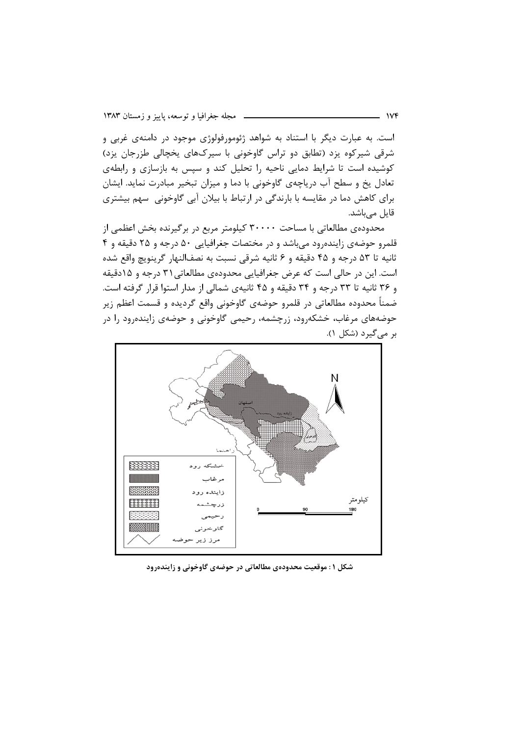است. به عبارت دیگر با استناد به شواهد ژئومورفولوژی موجود در دامنهی غربی و شرقی شیرکوه یزد (تطابق دو تراس گاوخونی با سیرکهای یخچالی طزرجان یزد) کوشیده است تا شرایط دمایی ناحیه را تحلیل کند و سپس به بازسازی و رابطهی تعادل یخ و سطح آب دریاچهی گاوخونی با دما و میزان تبخیر مبادرت نماید. ایشان برای کاهش دما در مقایسه با بارندگی در ارتباط با بیلان آبی گاوخونی سهم بیشتری قایل میباشد.

محدودهی مطالعاتی با مساحت ۳۰۰۰۰ کیلومتر مربع در برگیرنده بخش اعظمی از قلمرو حوضهی زایندهرود می باشد و در مختصات جغرافیایی ۵۰ درجه و ۲۵ دقیقه و ۴ ثانيه تا ۵۳ درجه و ۴۵ دقيقه و ۶ ثانيه شرقي نسبت به نصفالنهار گرينويچ واقع شده است. این در حالی است که عرض جغرافیایی محدودهی مطالعاتی ۳۱ درجه و ۱۵دقیقه و ۳۶ ثانیه تا ۳۳ درجه و ۳۴ دقیقه و ۴۵ ثانیهی شمالی از مدار استوا قرار گرفته است. ضمناً محدوده مطالعاتی در قلمرو حوضهی گاوخونی واقع گردیده و قسمت اعظم زیر حوضههای مرغاب، خشکهرود، زرچشمه، رحیمی گاوخونی و حوضهی زایندهرود را در بر میگیرد (شکل ۱).



شکل ۱: موقعیت محدودهی مطالعاتی در حوضهی گاوخونی و زایندهرود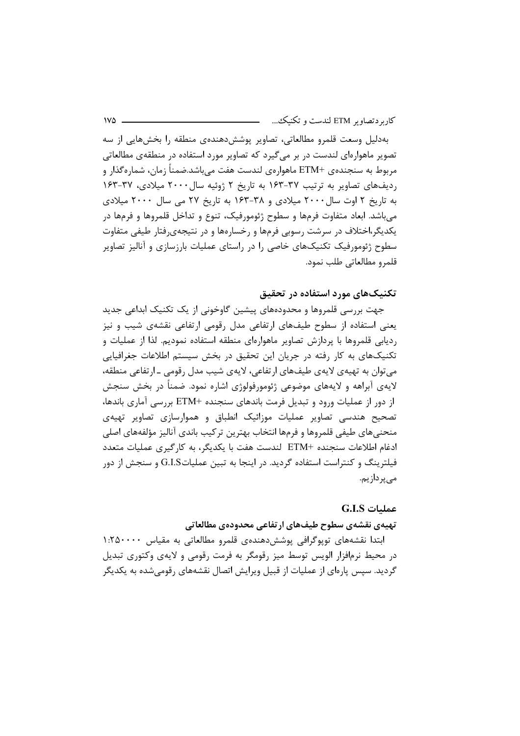بهدلیل وسعت قلمرو مطالعاتی، تصاویر پوشش دهندهی منطقه را بخشهایی از سه تصویر ماهوارهای لندست در بر میگیرد که تصاویر مورد استفاده در منطقهی مطالعاتی مربوط به سنجندهي +ETM ماهوارهي لندست هفت ميباشد.ضمناً زمان، شمارهگذار و ردیفهای تصاویر به ترتیب ۳۷-۱۶۳ به تاریخ ۲ ژوئیه سال ۲۰۰۰ میلادی، ۳۷-۱۶۳ به تاریخ ۲ اوت سال ۲۰۰۰ میلادی و ۳۸-۱۶۳ به تاریخ ۲۷ می سال ۲۰۰۰ میلادی می باشد. ابعاد متفاوت فرمها و سطوح ژئومورفیک، تنوع و تداخل قلمروها و فرمها در یکدیگر،اختلاف در سرشت رسوبی فرمها و رخسارهها و در نتیجهیرفتار طیفی متفاوت سطوح ژئومورفیک تکنیکهای خاصی را در راستای عملیات بارزسازی و آنالیز تصاویر قلمرو مطالعاتي طلب نمود.

# تکنیکهای مورد استفاده در تحقیق

جهت بررسی قلمروها و محدودههای پیشین گاوخونی از یک تکنیک ابداعی جدید یعنی استفاده از سطوح طیفهای ارتفاعی مدل رقومی ارتفاعی نقشهی شیب و نیز ردیابی قلمروها با پردازش تصاویر ماهوارهای منطقه استفاده نمودیم. لذا از عملیات و تکنیکهای به کار رفته در جریان این تحقیق در بخش سیستم اطلاعات جغرافیایی میتوان به تهیهی لایهی طیفهای ارتفاعی، لایهی شیب مدل رقومی ـ ارتفاعی منطقه، لایهی آبراهه و لایههای موضوعی ژئومورفولوژی اشاره نمود. ضمناً در بخش سنجش از دور از عملیات ورود و تبدیل فرمت باندهای سنجنده +ETM بررسی آماری باندها، تصحیح هندسی تصاویر عملیات موزائیک انطباق و هموارسازی تصاویر تهیهی منحنىهاى طيفى قلمروها و فرمها انتخاب بهترين تركيب باندى آناليز مؤلفههاى اصلى ادغام اطلاعات سنجنده +ETM لندست هفت با يكديگر، به كارگيري عمليات متعدد فیلترینگ و کنتراست استفاده گردید. در اینجا به تبین عملیاتG.I.S و سنجش از دور مے پر داز یم.

#### عمليات G.I.S

#### تهيهي نقشهي سطوح طيف هاي ارتفاعي محدودهي مطالعاتي

ابتدا نقشەهای توپوگرافی پوشش دهندەی قلمرو مطالعاتی به مقیاس ۱:۲۵۰۰۰۰ در محیط نرم|فزار الویس توسط میز رقومگر به فرمت رقومی و لایهی وکتوری تبدیل گردید. سپس پارهای از عملیات از قبیل ویرایش اتصال نقشههای رقومی شده به یکدیگر

 $1V\Delta$  -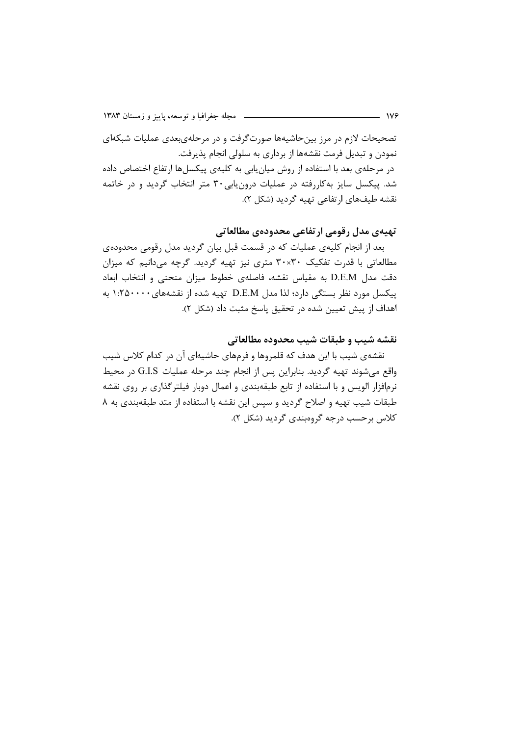تصحیحات لازم در مرز بینحاشیهها صورتگرفت و در مرحلهی بعدی عملیات شبکهای نمودن و تبدیل فرمت نقشهها از برداری به سلولی انجام پذیرفت. در مرحلهی بعد با استفاده از روش میان یابی به کلیهی پیکسلها ارتفاع اختصاص داده شد. پیکسل سایز بهکاررفته در عملیات درون یابی۳۰ متر انتخاب گردید و در خاتمه نقشه طیفهای ارتفاعی تهیه گردید (شکل ۲).

## تهيهي مدل رقومي ارتفاعي محدودهي مطالعاتي

بعد از انجام کلیهی عملیات که در قسمت قبل بیان گردید مدل رقومی محدودهی مطالعاتی با قدرت تفکیک ۳۰×۳۰ متری نیز تهیه گردید. گرچه میدانیم که میزان دقت مدل D.E.M به مقياس نقشه، فاصلهى خطوط ميزان منحنى و انتخاب ابعاد پیکسل مورد نظر بستگی دارد؛ لذا مدل D.E.M تهیه شده از نقشههای ۱:۲۵۰۰۰ به اهداف از پیش تعیین شده در تحقیق پاسخ مثبت داد (شکل ۲).

#### نقشه شيب و طبقات شيب محدوده مطالعاتي

نقشهی شیب با این هدف که قلمروها و فرمهای حاشیهای آن در کدام کلاس شیب واقع میشوند تهیه گردید. بنابراین پس از انجام چند مرحله عملیات G.I.S در محیط نرمافزار الویس و با استفاده از تابع طبقهبندی و اعمال دوبار فیلترگذاری بر روی نقشه طبقات شیب تهیه و اصلاح گردید و سپس این نقشه با استفاده از متد طبقهبندی به ۸ کلاس برحسب درجه گروهبندی گردید (شکل ۲).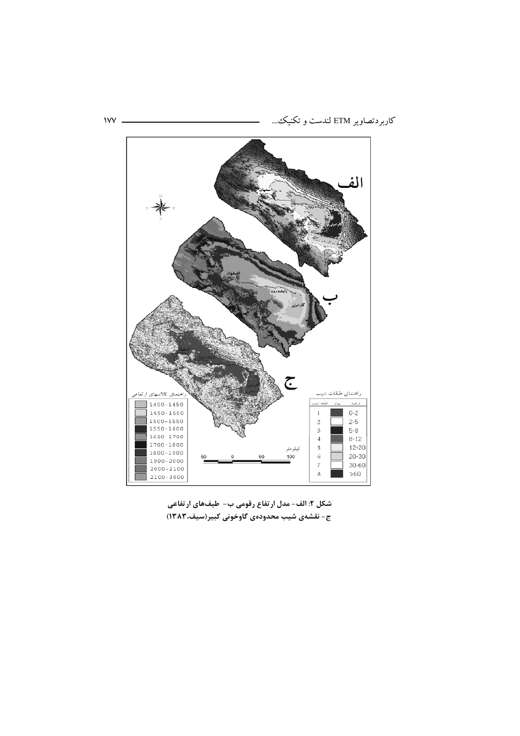

 $1VV$  -

شکل ۲: الف- مدل ارتفاع رقومی ب- طیفهای ارتفاعی ج- نقشهی شیب محدودهی گاوخونی کبیر(سیف،۱۳۸۳)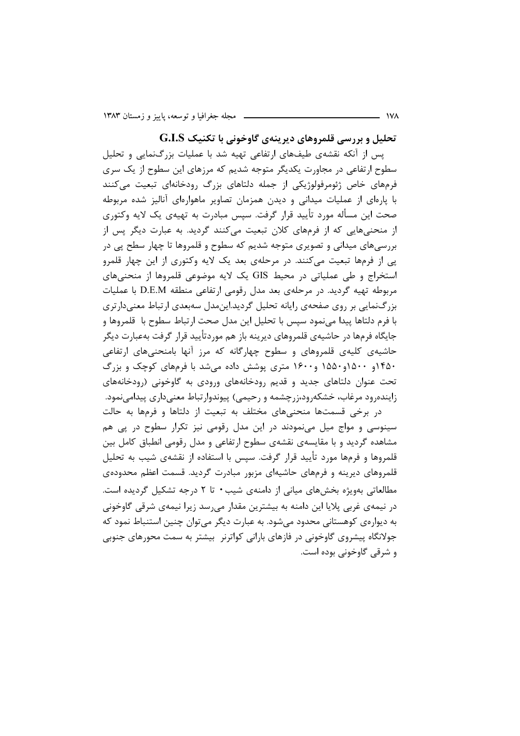تحلیل و بررسی قلمروهای دیرینهی گاوخونی با تکنیک G.I.S

پس از آنکه نقشهی طیفهای ارتفاعی تهیه شد با عملیات بزرگنمایی و تحلیل سطوح ارتفاعی در مجاورت یکدیگر متوجه شدیم که مرزهای این سطوح از یک سری فرمهای خاص ژئومرفولوژیکی از جمله دلتاهای بزرگ رودخانهای تبعیت میکنند با پارهای از عملیات میدانی و دیدن همزمان تصاویر ماهوارهای آنالیز شده مربوطه صحت این مسأله مورد تأیید قرار گرفت. سپس مبادرت به تهیهی یک لایه وکتوری از منحنیهایی که از فرمهای کلان تبعیت میکنند گردید. به عبارت دیگر پس از بررسی،های میدانی و تصویری متوجه شدیم که سطوح و قلمروها تا چهار سطح یی در پی از فرمها تبعیت میکنند. در مرحلهی بعد یک لایه وکتوری از این چهار قلمرو استخراج و طی عملیاتی در محیط GIS یک لایه موضوعی قلمروها از منحنیهای مربوطه تهیه گردید. در مرحلهی بعد مدل رقومی ارتفاعی منطقه D.E.M با عملیات بزرگنمایی بر روی صفحهی رایانه تحلیل گردید.این مدل سهبعدی ارتباط معنی دارتری با فرم دلتاها پیدا می نمود سیس با تحلیل این مدل صحت ارتباط سطوح با قلمروها و جایگاه فرمها در حاشیهی قلمروهای دیرینه باز هم موردتأیید قرار گرفت بهعبارت دیگر حاشیهی کلیهی قلمروهای و سطوح چهارگانه که مرز آنها بامنحنیهای ارتفاعی ۴۵۰و ۱۵۰۰و۱۵۵۰ و۱۶۰۰ متری پوشش داده میشد با فرمهای کوچک و بزرگ تحت عنوان دلتاهای جدید و قدیم رودخانههای ورودی به گاوخونی (رودخانههای زایندهرود مرغاب، خشکهرود،زرچشمه و رحیمی) پیوندوارتباط معنیداری پیدامینمود.

در برخی قسمتها منحنیهای مختلف به تبعیت از دلتاها و فرمها به حالت سینوسی و مواج میل مینمودند در این مدل رقومی نیز تکرار سطوح در پی هم مشاهده گردید و با مقایسهی نقشهی سطوح ارتفاعی و مدل رقومی انطباق کامل بین قلمروها و فرمها مورد تأیید قرار گرفت. سپس با استفاده از نقشهی شیب به تحلیل قلمروهای دیرینه و فرمهای حاشیهای مزبور مبادرت گردید. قسمت اعظم محدودهی مطالعاتی بهویژه بخشهای میانی از دامنهی شیب • تا ۲ درجه تشکیل گردیده است. در نیمهی غربی پلایا این دامنه به بیشترین مقدار میرسد زیرا نیمهی شرقی گاوخونی به دیوارەی کوهستانی محدود می شود. به عبارت دیگر می توان چنین استنباط نمود که جولانگاه پیشروی گاوخونی در فازهای بارانی کواترنر بیشتر به سمت محورهای جنوبی و شرقی گاوخونی بوده است.

 $\overline{\phantom{a}}$  iva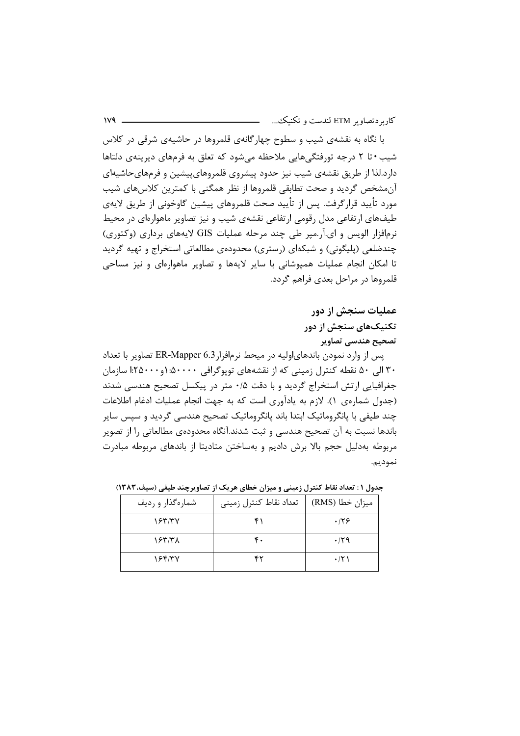با نگاه به نقشهی شیب و سطوح چهارگانهی قلمروها در حاشیهی شرقی در کلاس شیب • تا ۲ درجه تورفتگیهایی ملاحظه می شود که تعلق به فرمهای دیرینهی دلتاها دارد.لذا از طریق نقشهی شیب نیز حدود پیشروی قلمروهای،پیشین و فرمهای حاشیهای آن مشخص گردید و صحت تطابقی قلمروها از نظر همگنی با کمترین کلاس های شیب مورد تأييد قرارگرفت. پس از تأييد صحت قلمروهاي پيشين گاوخوني از طريق لايهي طیفهای ارتفاعی مدل رقومی ارتفاعی نقشهی شیب و نیز تصاویر ماهوارهای در محیط نرمافزار الویس و ای.آر.میر طی چند مرحله عملیات GIS لایههای برداری (وکتوری) چندضلعی (پلیگونی) و شبکهای (رستری) محدودهی مطالعاتی استخراج و تهیه گردید تا امکان انجام عملیات همپوشانی با سایر لایهها و تصاویر ماهوارهای و نیز مساحی قلمروها در مراحل بعدی فراهم گردد.

# عملیات سنجش از دور تکنیکهای سنجش از دور تصحیح هندسی تصاویر

پس از وارد نمودن باندهای|ولیه در میحط نرم|فزار6.3 ER-Mapper تصاویر با تعداد ۳۰ الی ۵۰ نقطه کنترل زمینی که از نقشههای توپوگرافی ۵۰۰۰۰: ۱و ۲۵۰۰۰! سازمان جغرافیایی ارتش استخراج گردید و با دقت ۰/۵ متر در پیکسل تصحیح هندسی شدند (جدول شمارهی ۱). لازم به یادآوری است که به جهت انجام عملیات ادغام اطلاعات چند طیفی با پانگروماتیک ابتدا باند پانگروماتیک تصحیح هندسی گردید و سپس سایر باندها نسبت به آن تصحیح هندسی و ثبت شدند.آنگاه محدودهی مطالعاتی را از تصویر مربوطه بهدلیل حجم بالا برش دادیم و بهساختن متادیتا از باندهای مربوطه مبادرت نموديم.

| شمارهگذار و ردیف | تعداد نقاط كنترل زميني | ميزان خطا (RMS) |
|------------------|------------------------|-----------------|
| 1557/TV          | ۴۱                     | .179            |
| 185178           | ۴.                     | $\cdot$ /۲۹     |
| 184107           | ۴۲                     | $\cdot$ /۲)     |

جدول ۱ : تعداد نقاط کنترل زمینی و میزان خطای هریک از تصاویرچند طیفی (سیف،۱۳۸۳)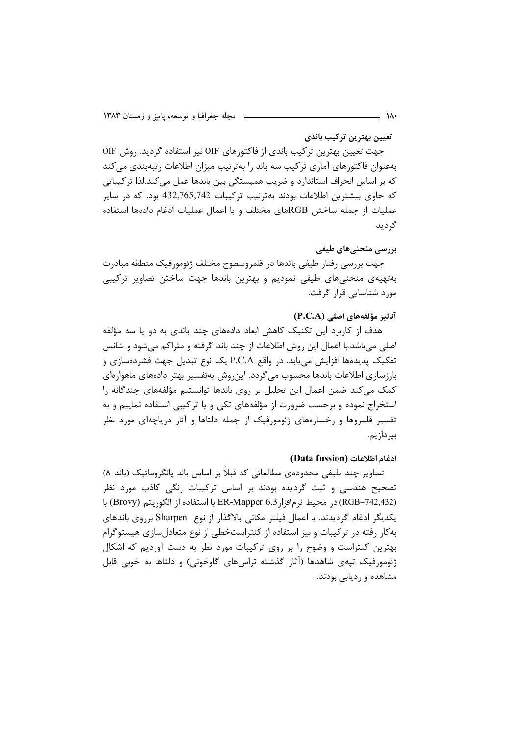تعيين بهترين تركيب باندى

جهت تعیین بهترین ترکیب باندی از فاکتورهای OIF نیز استفاده گردید. روش OIF بهعنوان فاکتورهای آماری ترکیب سه باند را بهترتیب میزان اطلاعات رتبهبندی می کند که بر اساس انحراف استاندارد و ضریب همبستگی بین باندها عمل میکند.لذا ترکیباتی كه حاوي بيشترين اطلاعات بودند بهترتيب تركيبات 432,765,742 بود. كه در ساير عملیات از جمله ساختن RGBهای مختلف و یا اعمال عملیات ادغام دادهها استفاده گ دىد

بررسی منحنی های طیفی

جهت بررسی رفتار طیفی باندها در قلمروسطوح مختلف ژئومورفیک منطقه مبادرت بهتهیهی منحنیهای طیفی نمودیم و بهترین باندها جهت ساختن تصاویر ترکیبی مورد شناسایی قرار گرفت.

#### آنالیز مؤلفههای اصلی (P.C.A)

هدف از کاربرد این تکنیک کاهش ابعاد دادههای چند باندی به دو یا سه مؤلفه اصلی میباشد.با اعمال این روش اطلاعات از چند باند گرفته و متراکم میشود و شانس تفکیک پدیدهها افزایش می بابد. در واقع P.C.A یک نوع تبدیل جهت فشردهسازی و بارزسازی اطلاعات باندها محسوب می5ردد. این٫وش بهتفسیر بهتر دادههای ماهوارهای کمک میکند ضمن اعمال این تحلیل بر روی باندها توانستیم مؤلفههای چندگانه را استخراج نموده و برحسب ضرورت از مؤلفههای تکی و یا ترکیبی استفاده نماییم و به تفسیر قلمروها و رخسارههای ژئومورفیک از جمله دلتاها و آثار دریاچهای مورد نظر بير دازيم.

#### ادغام اطلاعات (Data fussion)

تصاویر چند طیفی محدودہی مطالعاتی که قبلاً بر اساس باند پانگروماتیک (باند ۸) تصحیح هندسی و ثبت گردیده بودند بر اساس ترکیبات رنگی کاذب مورد نظر (RGB=742,432) در محيط نرمافزار ER-Mapper 6.3 با استفاده از الگوريتم (Brovy) با یکدیگر ادغام گردیدند. با اعمال فیلتر مکانی بالاگذار از نوع Sharpen برروی باندهای به کار رفته در ترکیبات و نیز استفاده از کنتراستخطی از نوع متعادل سازی هیستوگرام بهترین کنتراست و وضوح را بر روی ترکیبات مورد نظر به دست آوردیم که اشکال ژئومورفیک تیهی شاهدها (آثار گذشته تراسهای گاوخونی) و دلتاها به خوبی قابل مشاهده و ردیابی بودند.

 $\lambda$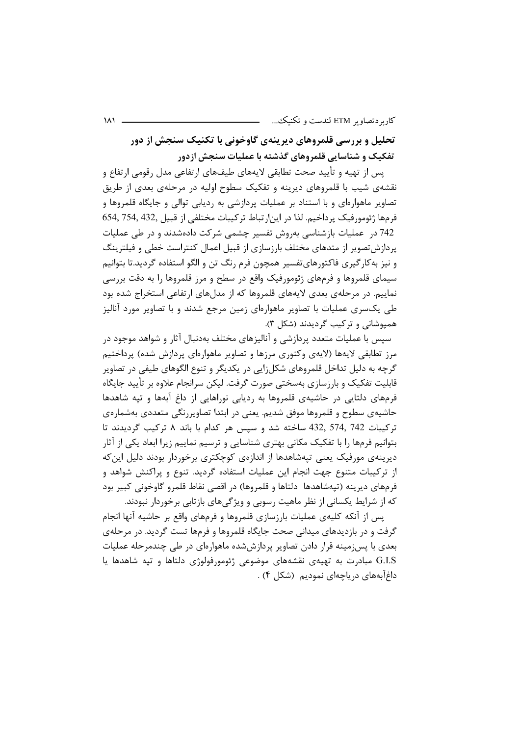تحلیل و بررسی قلمروهای دیرینهی گاوخونی با تکنیک سنجش از دور تفکیک و شناسایی قلمروهای گذشته با عملیات سنجش ازدور

یس از تهیه و تأیید صحت تطابقی لایههای طیفهای ارتفاعی مدل رقومی ارتفاع و نقشهی شیب با قلمروهای دیرینه و تفکیک سطوح اولیه در مرحلهی بعدی از طریق تصاویر ماهوارهای و با استناد بر عملیات پردازشی به ردیابی توالی و جایگاه قلمروها و فرمها ژئومورفیک پرداخیم. لذا در این|رتباط ترکیبات مختلفی از قبیل ,54, 754, 754 742 در عملیات بازشناسی بهروش تفسیر چشمی شرکت دادهشدند و در طی عملیات یردازش تصویر از متدهای مختلف بارزسازی از قبیل اعمال کنتراست خطی و فیلترینگ و نیز به کار گیری فاکتورهایتفسیر همچون فرم رنگ تن و الگو استفاده گردید.تا بتوانیم سیمای قلمروها و فرمهای ژئومورفیک واقع در سطح و مرز قلمروها را به دقت بررسی نماییم. در مرحلهی بعدی لایههای قلمروها که از مدلهای ارتفاعی استخراج شده بود طی یکسری عملیات با تصاویر ماهوارهای زمین مرجع شدند و با تصاویر مورد آنالیز هميوشاني و تركيب گرديدند (شكل ٣).

سپس با عملیات متعدد پردازشی و آنالیزهای مختلف بهدنبال آثار و شواهد موجود در مرز تطابقي لايهها (لايهى وكتورى مرزها و تصاوير ماهوارهاى پردازش شده) پرداختيم گرچه به دلیل تداخل قلمروهای شکلزایی در یکدیگر و تنوع الگوهای طیفی در تصاویر قابلیت تفکیک و بارزسازی بهسختی صورت گرفت. لیکن سرانجام علاوه بر تأیید جایگاه فرمهای دلتایی در حاشیهی قلمروها به ردیایی نوراهایی از داغ آبهها و تیه شاهدها حاشیهی سطوح و قلمروها موفق شدیم. یعنی در ابتدا تصاویررنگی متعددی بهشمارهی تركيبات 432, 574, 742 ساخته شد و سيس هر كدام با باند ٨ تركيب گرديدند تا بتوانیم فرمها را با تفکیک مکانی بهتری شناسایی و ترسیم نماییم زیرا ابعاد یکی از آثار دیرینهی مورفیک یعنی تیهشاهدها از اندازهی کوچکتری برخوردار بودند دلیل این که از ترکیبات متنوع جهت انجام این عملیات استفاده گردید. تنوع و پراکنش شواهد و فرمهای دیرینه (تیهشاهدها ِدلتاها و قلمروها) در اقصی نقاط قلمرو گاوخونی کبیر بود که از شرایط یکسانی از نظر ماهیت رسوبی و ویژگیهای بازتابی برخوردار نبودند.

یس از آنکه کلیهی عملیات بارزسازی قلمروها و فرمهای واقع بر حاشیه آنها انجام گرفت و در بازدیدهای میدانی صحت جایگاه قلمروها و فرمها تست گردید. در مرحلهی بعدی با پس;مینه قرار دادن تصاویر پردازششده ماهوارهای در طی چندمرحله عملیات G.I.S مبادرت به تهیهی نقشههای موضوعی ژئومورفولوژی دلتاها و تیه شاهدها یا داغآبههای دریاچهای نمودیم (شکل ۴) .

 $\mathcal{M}$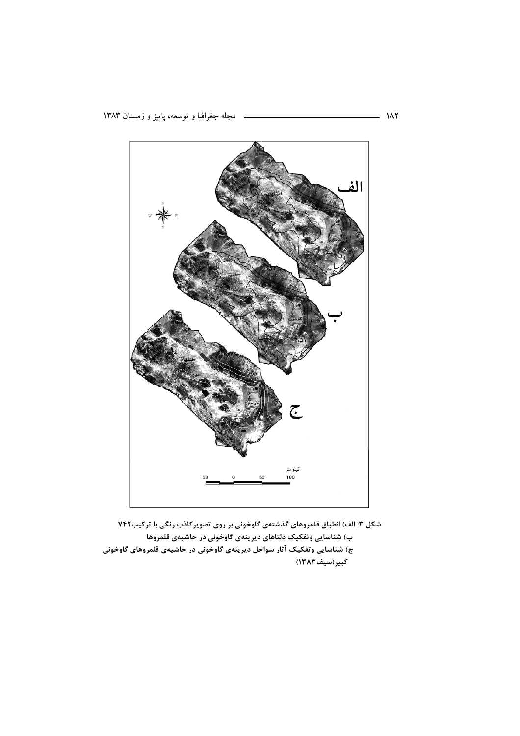

شکل ۳: الف) انطباق قلمروهای گذشتهی گاوخونی بر روی تصویرکاذب رنگی با ترکیب۷۴۲ ب) شناسایی وتفکیک دلتاهای دیرینهی گاوخونی در حاشیهی قلمروها ج) شناسایی وتفکیک آثار سواحل دیرینهی گاوخونی در حاشیهی قلمروهای گاوخونی کبیر(سیف۱۳۸۳)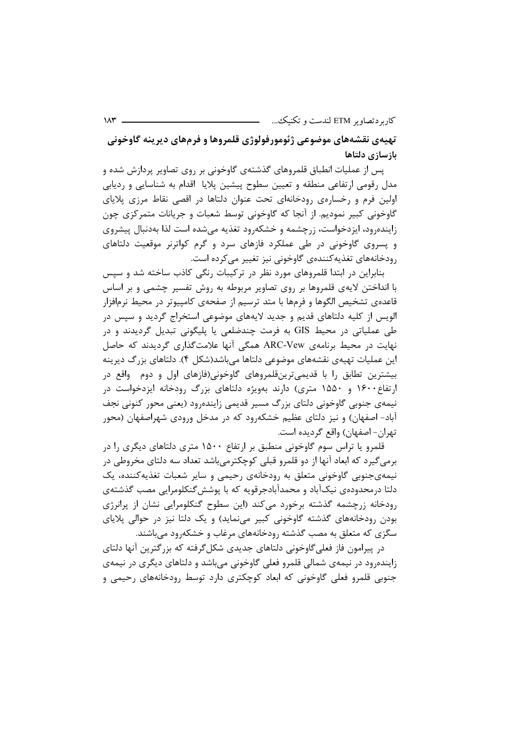تهیهی نقشههای موضوعی ژئومورفولوژی قلمروها و فرمهای دیرینه گاوخونی بازسازي دلتاها

پس از عملیات انطباق قلمروهای گذشتهی گاوخونی بر روی تصاویر پردازش شده و مدل رقومی ارتفاعی منطقه و تعیین سطوح پیشین پلایا اقدام به شناسایی و ردیابی اولین فرم و رخسارهی رودخانهای تحت عنوان دلتاها در اقصی نقاط مرزی پلایای گاوخونی کبیر نمودیم. از آنجا که گاوخونی توسط شعبات و جریانات متمرکزی چون زاینده ود، ایزدخواست، زرچشمه و خشکه ود تغذیه می شده است لذا بهدنبال پیشروی و پسروی گاوخونی در طی عملکرد فازهای سرد و گرم کواترنر موقعیت دلتاهای رودخانههای تغذیه کنندهی گاوخونی نیز تغییر میکرده است.

بنابراین در ابتدا قلمروهای مورد نظر در ترکیبات رنگی کاذب ساخته شد و سیس با انداختن لایهی قلمروها بر روی تصاویر مربوطه به روش تفسیر چشمی و بر اساس قاعدهی تشخیص الگوها و فرمها با متد ترسیم از صفحهی کامپیوتر در محیط نرمافزار الویس از کلیه دلتاهای قدیم و جدید لایههای موضوعی استخراج گردید و سپس در طی عملیاتی در محیط GIS به فرمت چندضلعی یا پلیگونی تبدیل گردیدند و در نهایت در محیط برنامهی ARC-Vew همگی آنها علامتگذاری گردیدند که حاصل این عملیات تهیهی نقشههای موضوعی دلتاها می باشد(شکل ۴). دلتاهای بزرگ دیرینه بیشترین تطابق را با قدیمیترینقلمروهای گاوخونی(فازهای اول و دوم واقع در ارتفاع ۱۶۰۰ و ۱۵۵۰ متری) دارند بهویژه دلتاهای بزرگ رودخانه ایزدخواست در نیمهی جنوبی گاوخونی دلتای بزرگ مسیر قدیمی زایندهرود (یعنی محور کنونی نجف آباد- اصفهان) و نیز دلتای عظیم خشکهرود که در مدخل ورودی شهراصفهان (محور تهران- اصفهان) واقع گرديده است.

قلمرو یا تراس سوم گاوخونی منطبق بر ارتفاع ۱۵۰۰ متری دلتاهای دیگری را در برمي گيرد كه ابعاد آنها از دو قلمرو قبلي كوچكترمي،باشد تعداد سه دلتاي مخروطي در نيمەي جنوبى گاوخونى متعلق بە رودخانەي رحيمى و ساير شعبات تغذيەكنندە، يک دلتا درمحدودهی نیکآباد و محمدآبادجرقویه که با پوشش گنکلومرایی مصب گذشتهی رودخانه زرچشمه گذشته برخورد میکند (این سطوح گنکلومرایی نشان از پرانرژی بودن رودخانههای گذشته گاوخونی کبیر مینماید) و یک دلتا نیز در حوالی پلایای سگزی که متعلق به مصب گذشته رودخانههای مرغاب و خشکهرود می باشند.

در پیرامون فاز فعلی گاوخونی دلتاهای جدیدی شکل گرفته که بزر گترین آنها دلتای زاینده ود در نیمهی شمالی قلمرو فعلی گاوخونی می باشد و دلتاهای دیگری در نیمهی جنوبي قلمرو فعلي گاوخوني كه ابعاد كوچكترى دارد توسط رودخانههاى رحيمي و

 $\mathcal{M}^{\star}$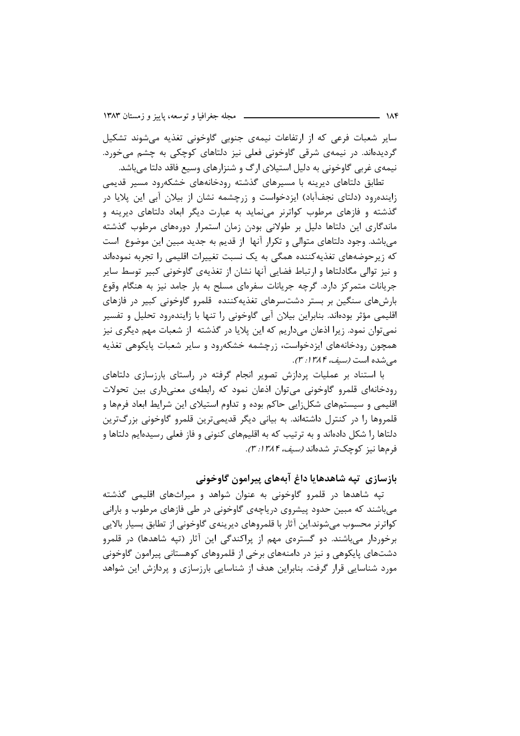سایر شعبات فرعی که از ارتفاعات نیمهی جنوبی گاوخونی تغذیه میشوند تشکیل گردیدهاند. در نیمهی شرقی گاوخونی فعلی نیز دلتاهای کوچکی به چشم میخورد. نیمهی غربی گاوخونی به دلیل استیلای ارگ و شنزارهای وسیع فاقد دلتا می باشد.

تطابق دلتاهای دیرینه با مسیرهای گذشته رودخانههای خشکهرود مسیر قدیمی زاینده,ود (دلتای نجفآباد) ایزدخواست و زرچشمه نشان از بیلان آبی این پلایا در گذشته و فازهای مرطوب کواترنر مینماید به عبارت دیگر ابعاد دلتاهای دیرینه و ماندگاری این دلتاها دلیل بر طولانی بودن زمان استمرار دورههای مرطوب گذشته میباشد. وجود دلتاهای متوالی و تکرار آنها ًاز قدیم به جدید مبین این موضوع ً است که زیرحوضههای تغذیهکننده همگی به یک نسبت تغییرات اقلیمی را تجربه نمودهاند و نیز توالی مگادلتاها و ارتباط فضایی آنها نشان از تغذیهی گاوخونی کبیر توسط سایر جریانات متمرکز دارد. گرچه جریانات سفرهای مسلح به بار جامد نیز به هنگام وقوع بارشهای سنگین بر بستر دشتسرهای تغذیهکننده قلمرو گاوخونی کبیر در فازهای اقلیمی مؤثر بودهاند. بنابراین بیلان آبی گاوخونی را تنها با زایندهرود تحلیل و تفسیر نمي توان نمود. زيرا اذعان مي داريم كه اين پلايا در گذشته از شعبات مهم ديگري نيز همچون رودخانههای ایزدخواست، زرچشمه خشکهرود و سایر شعبات پایکوهی تغذیه می شده است *(سیف، ۱۳۸۴: ۳)*.

با استناد بر عملیات پردازش تصویر انجام گرفته در راستای بارزسازی دلتاهای رودخانهای قلمرو گاوخونی میتوان اذعان نمود که رابطهی معنیداری بین تحولات اقلیمی و سیستمهای شکل;ایی حاکم بوده و تداوم استیلای این شرایط ابعاد فرمها و قلمروها را در کنترل داشتهاند. به بیانی دیگر قدیمیترین قلمرو گاوخونی بزرگترین دلتاها را شکل دادهاند و به ترتیب که به اقلیمهای کنونی و فاز فعلی رسیدهایم دلتاها و فرمها نيز كوچكتر شدهاند *(سيف، ١٣٨٤: ٣).* 

# بازسازی تپه شاهدهایا داغ آبههای پیرامون گاوخونی

تیه شاهدها در قلمرو گاوخونی به عنوان شواهد و میراثهای اقلیمی گذشته می باشند که مبین حدود پیشروی دریاچهی گاوخونی در طی فازهای مرطوب و بارانی کواترنر محسوب میشوند.این آثار با قلمروهای دیرینهی گاوخونی از تطابق بسیار بالایی برخوردار میباشند. دو گسترهی مهم از پراکندگی این آثار (تپه شاهدها) در قلمرو دشتهای پایکوهی و نیز در دامنههای برخی از قلمروهای کوهستانی پیرامون گاوخونی مورد شناسایی قرار گرفت. بنابراین هدف از شناسایی بارزسازی و پردازش این شواهد

 $\overline{a}$   $\overline{a}$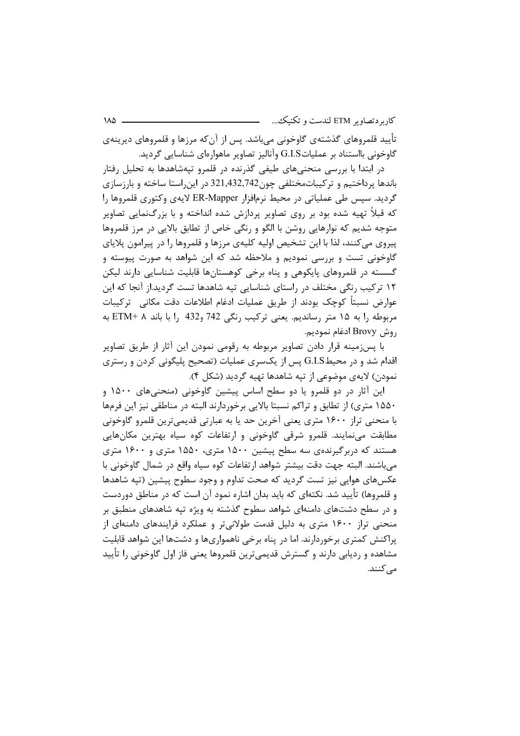تأييد قلمروهاي گذشتهي گاوخوني ميباشد. پس از آنكه مرزها و قلمروهاي ديرينهي گاوخونی بااستناد بر عملیاتG.I.S وآنالیز تصاویر ماهوارەای شناسایی گردید.

در ابتدا با بررسی منحنیهای طیفی گذرنده در قلمرو تپهشاهدها به تحلیل رفتار باندها پرداختیم و ترکیباتمختلفی چون742,432,742 در این راستا ساخته و بارزسازی گردید. سپس طی عملیاتی در محیط نرمافزار ER-Mapper لایهی وکتوری قلمروها را که قبلاً تهیه شده بود بر روی تصاویر پردازش شده انداخته و با بزرگنمایی تصاویر متوجه شديم كه نوارهايي روشن با الگو و رنگي خاص از تطابق بالايي در مرز قلمروها پیروی می کنند، لذا با این تشخیص اولیه کلیهی مرزها و قلمروها را در پیرامون پلایای گاوخونی تست و بررسی نمودیم و ملاحظه شد که این شواهد به صورت پیوسته و گسسته در قلمروهای پایکوهی و پناه برخی کوهستانها قابلیت شناسایی دارند لیکن ۱۲ ترکیب رنگی مختلف در راستای شناسایی تیه شاهدها تست گردید.از آنجا که این عوارض نسبتاً كوچک بودند از طريق عمليات ادغام اطلاعات دقت مكاني \_ تركيبات مربوطه را به ۱۵ متر رساندیم. یعنی ترکیب رنگی 742 و432 را با باند ETM+ ۸ به روش Brovy ادغام نموديم.

با پس;مینه قرار دادن تصاویر مربوطه به رقومی نمودن این آثار از طریق تصاویر اقدام شد و در محیطG.I.S پس از یکسری عملیات (تصحیح پلیگونی کردن و رستری نمودن) لايەي موضوعي از تپه شاهدها تهيه گرديد (شكل ۴).

این آثار در دو قلمرو یا دو سطح اساس پیشین گاوخونی (منحنیهای ۱۵۰۰ و ۱۵۵۰ متری) از تطابق و تراکم نسبتا بالایی برخوردارند البته در مناطقی نیز این فرمها با منحنی تراز ۱۶۰۰ متری یعنی آخرین حد یا به عبارتی قدیمیترین قلمرو گاوخونی مطابقت می نمایند. قلمرو شرقی گاوخونی و ارتفاعات کوه سیاه بهترین مکانهایی هستند که دربرگیرندهی سه سطح پیشین ۱۵۰۰ متری، ۱۵۵۰ متری و ۱۶۰۰ متری میباشند. البته جهت دقت بیشتر شواهد ارتفاعات کوه سیاه واقع در شمال گاوخونی با عکسهای هوایی نیز تست گردید که صحت تداوم و وجود سطوح پیشین (تپه شاهدها و قلمروها) تأييد شد. نكتهاي كه بايد بدان اشاره نمود آن است كه در مناطق دوردست و در سطح دشتهای دامنهای شواهد سطوح گذشته به ویژه تیه شاهدهای منطبق بر منحنی تراز ۱۶۰۰ متری به دلیل قدمت طولانیتر و عملکرد فرایندهای دامنهای از پراکنش کمتری برخوردارند. اما در پناه برخی ناهمواریها و دشتها این شواهد قابلیت مشاهده و ردیابی دارند و گسترش قدیمیترین قلمروها یعنی فاز اول گاوخونی را تأیید مے کنند.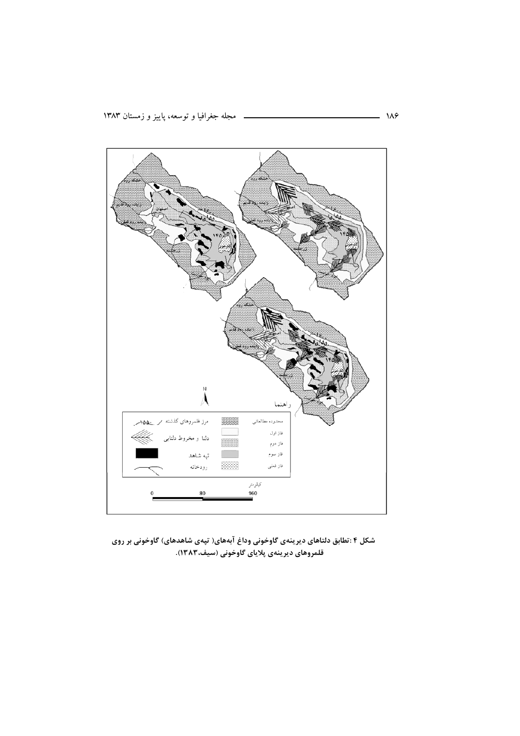

شکل ۴ :تطابق دلتاهای دیرینهی گاوخونی وداغ آبههای( تپهی شاهدهای) گاوخونی بر روی قلمروهای دیرینهی پلایای گاوخونی (سیف،۱۳۸۳).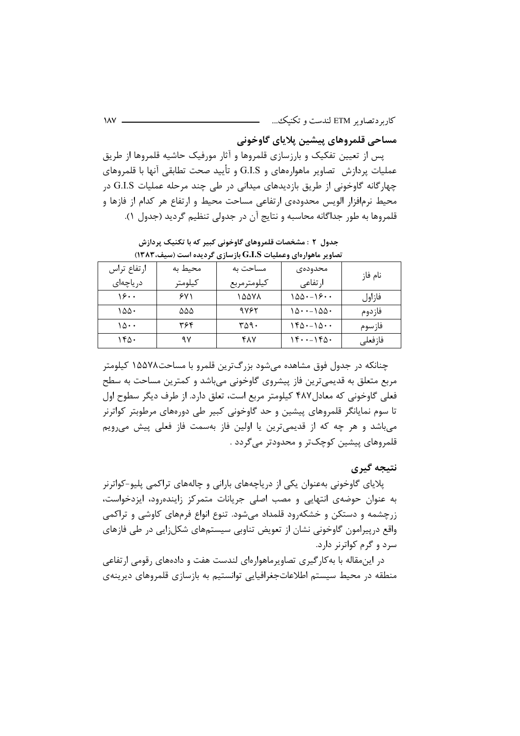مساحي قلمروهاي ييشين يلاياي گاوخوني

یس از تعیین تفکیک و بارزسازی قلمروها و آثار مورفیک حاشیه قلمروها از طریق عملیات پردازش تصاویر ماهوارههای و G.I.S و تأیید صحت تطابقی آنها با قلمروهای چهارگانه گاوخونی از طریق بازدیدهای میدانی در طی چند مرحله عملیات G.I.S در محيط نرمافزار الويس محدودهى ارتفاعي مساحت محيط و ارتفاع هر كدام از فازها و قلمروها به طور جداگانه محاسبه و نتایج آن در جدولی تنظیم گردید (جدول ۱).

تصاویر ماهوارهای وعملیات G.I.S بازسازی گردیده است (سیف، ۱۳۸۳) محيط به مساحت به ارتفاع تراس محدودەى نام فا; كيلومترمربع كيلومتر در ياچەاي ار تفاعی  $19.4$  $541$ 10071  $100 - 19 -$ فازاول  $100.$  $\Delta\Delta\Delta$ 9787  $10 \cdot -100 \cdot$ فازدوم  $10.4$ ٣۶۴  $\Gamma \Delta$ 9.  $160 - 10 -$ فازسوم  $140.$  $9V$ **FAY**  $15...160$ فا; فعلے ِ

جدول ٢ : مشخصات قلمروهای گاوخونی کبیر که با تکنیک پردازش

چنانکه در جدول فوق مشاهده میشود بزرگترین قلمرو با مساحت۱۵۵۷۸ کیلومتر مربع متعلق به قدیمی ترین فاز پیشروی گاوخونی میباشد و کمترین مساحت به سطح فعلی گاوخونی که معادل ۴۸۷ کیلومتر مربع است، تعلق دارد. از طرف دیگر سطوح اول تا سوم نمایانگر قلمروهای پیشین و حد گاوخونی کبیر طی دورههای مرطوبتر کواترنر می باشد و هر چه که از قدیمی ترین یا اولین فاز بهسمت فاز فعلی پیش می رویم قلمروهای پیشین کوچکتر و محدودتر می گردد .

نتىجە گىرى

پلایای گاوخونی بهعنوان یکی از دریاچههای بارانی و چالههای تراکمی پلیو-کواترنر به عنوان حوضهی انتهایی و مصب اصلی جریانات متمرکز زایندهرود، ایزدخواست، زرچشمه و دستکن و خشکهرود قلمداد میشود. تنوع انواع فرمهای کاوشی و تراکمی واقع درپیرامون گاوخونی نشان از تعویض تناوبی سیستمهای شکلزایی در طی فازهای سرد و گرم کواترنر دارد.

در این مقاله با به کار گیری تصاویر ماهوار های لندست هفت و دادههای رقومی ارتفاعی منطقه در محیط سیستم اطلاعاتجغرافیایی توانستیم به بازسازی قلمروهای دیرینهی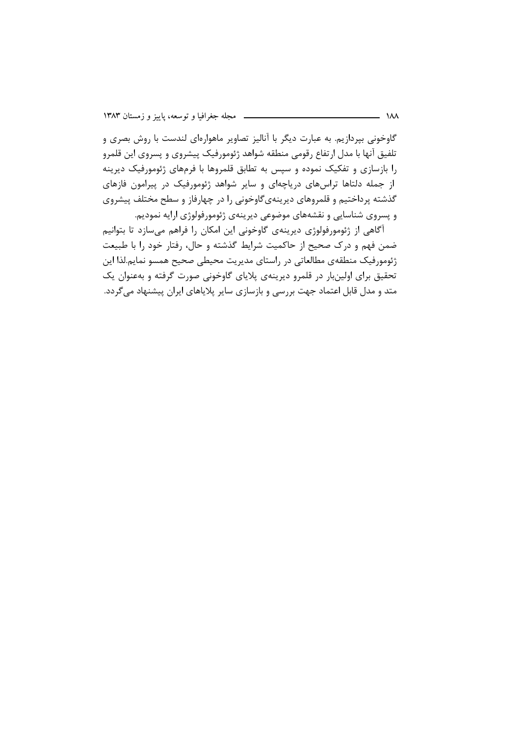گاوخونی بپردازیم. به عبارت دیگر با آنالیز تصاویر ماهوارهای لندست با روش بصری و تلفيق آنها با مدل ارتفاع رقومي منطقه شواهد ژئومورفيک پيشروي و پسروي اين قلمرو را بازسازی و تفکیک نموده و سپس به تطابق قلمروها با فرمهای ژئومورفیک دیرینه از جمله دلتاها تراسهای دریاچهای و سایر شواهد ژئومورفیک در پیرامون فازهای گذشته پرداختیم و قلمروهای دیرینهیگاوخونی را در چهارفاز و سطح مختلف پیشروی و پسروی شناسایی و نقشههای موضوعی دیرینهی ژئومورفولوژی ارایه نمودیم.

آگاهی از ژئومورفولوژی دیرینهی گاوخونی این امکان را فراهم میسازد تا بتوانیم ضمن فهم و درک صحیح از حاکمیت شرایط گذشته و حال، رفتار خود را با طبیعت ژئومورفیک منطقهی مطالعاتی در راستای مدیریت محیطی صحیح همسو نمایم.لذا این تحقیق برای اولینبار در قلمرو دیرینهی پلایای گاوخونی صورت گرفته و بهعنوان یک متد و مدل قابل اعتماد جهت بررسی و بازسازی سایر پلایاهای ایران پیشنهاد می گردد.

 $\lambda\lambda$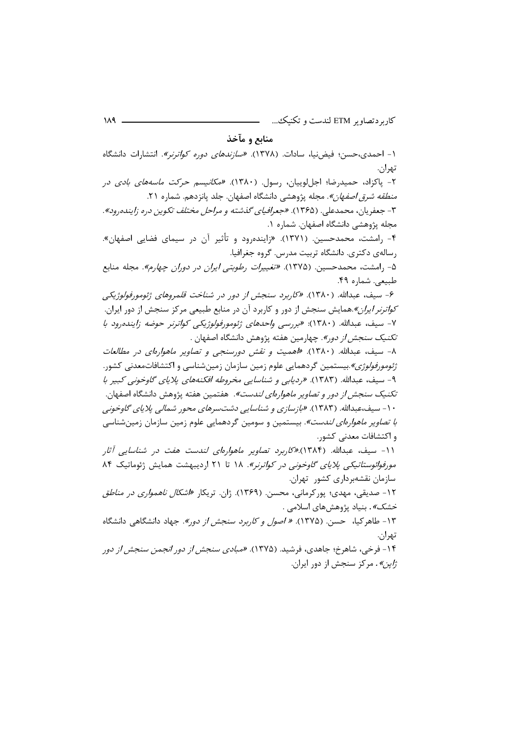## منابع و مآخذ

۱- احمدی،حسن؛ فیضنیا، سادات. (۱۳۷۸). *«سازندهای دوره کواترنر»*. انتشارات دانشگاه تهران.

۲- پاکزاد، حمیدرضا؛ اجللوییان، رسول. (۱۳۸۰). *«مکانیسم حرکت ماسههای بادی در منطقه شرق اصفهان»*. مجله پژوهشی دانشگاه اصفهان. جلد پانزدهم. شماره ۲۱. ۳- جعفریان، محمدعلی. (۱۳۶۵). *«جعرافیای گذشته و مراحل مختلف تکوین دره زاینده رود».* مجله پژوهشی دانشگاه اصفهان. شماره ۱.

۴- رامشت، محمدحسین. (۱۳۷۱). «زایندهرود و تأثیر آن در سیمای فضایی اصفهان». رسالەي دكترى. دانشگاه تربيت مدرس. گروه جغرافيا.

۵- ,امشت، محمدحسین. (۱۳۷۵). *«تغییرات رطوبتی ایران در دوران چهارم»*. مجله منابع طبيعي. شماره ۴۹.

۶- سيف، عبدالله. (١٣٨٠). «كاربرد سنجش از دور در شناخت قلمروهاي ژئومورفولوژيكي *کواترنر ایران»*.همایش سنجش از دور و کاربرد آن در منابع طبیعی مرکز سنجش از دور ایران. ٧- سيف، عبدالله. (١٣٨٠): «بررسي واحدهاي رْئومورفولورْيكي كواترنر حوضه زاينده وود با *تكنيك سنجش از دور»*. چهارمين هفته پژوهش دانشگاه اصفهان .

٨- سيف، عبدالله. (١٣٨٠). «اهميت و نقش دورسنجي و تص*اوير ماهوارداي در مطالعات ژئومورفولوژی»*.بیستمین گردهمایی علوم زمین سازمان زمینشناسی و اکتشافاتمعدنی کشور. ۹- سيف، عبدالله. (١٣٨٣). «رديابي و شناسايي مخروطه افكنههاي پلاياي گاوخوني كېير با *تكنيك سنجش از دور و تصاوير ماهوارهاي لندست»*. هفتمين هفته پژوهش دانشگاه اصفهان. ۱۰- سیف،عبدالله. (۱۳۸۳). *«بازسازی و شناسایی دشتسرهای محور شمالی پلایای گاوخونی با تصاویر ماهوارهای لندست»*. بیستمین و سومین گردهمایی علوم زمین سازمان زمینشناسی و اکتشافات معدنی کشور.

۱۱- سیف، عبدالله. (۱۳۸۴).*«کاربرد تصاویر ماهوارهای لندست هفت در شناسایی آثار* مورفوائوستاتیکی پلایای گاوخونی در کواترنر». ١٨ تا ٢١ اردیبهشت همایش ژئوماتیک ٨۴ سازمان نقشهبرداری کشور تهران.

۱۲- صدیقی، مهدی؛ پور کرمانی، محسن. (۱۳۶۹). ژان. تریکار *«اشکال ناهمواری در مناطق خشک»* . بنیاد پژوهش های اسلامی .

۱۳- طاهرکیا، حسن. (۱۳۷۵). *« اصول و کاربرد سنجش از دور». ج*هاد دانشگاهی دانشگاه تهران. ۱۴- فرخی، شاهرخ؛ جاهدی، فرشید. (۱۳۷۵). *«مبادی سنجش از دور انجمن سنجش از دو*ر

ز/ين». مركز سنجش از دور ايران.

 $\lambda$   $\lambda$   $\lambda$